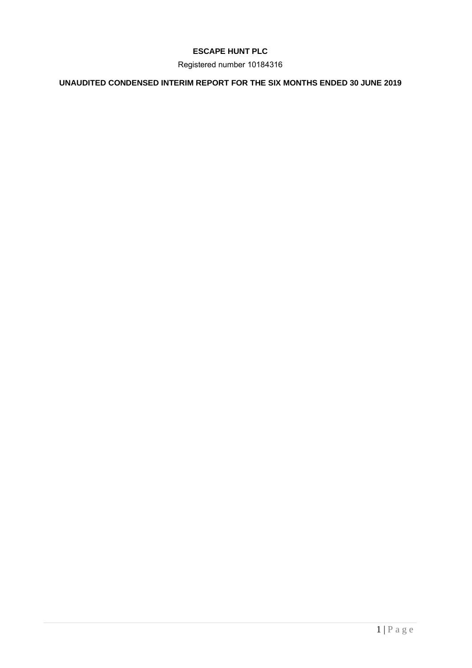# **ESCAPE HUNT PLC**

Registered number 10184316

# **UNAUDITED CONDENSED INTERIM REPORT FOR THE SIX MONTHS ENDED 30 JUNE 2019**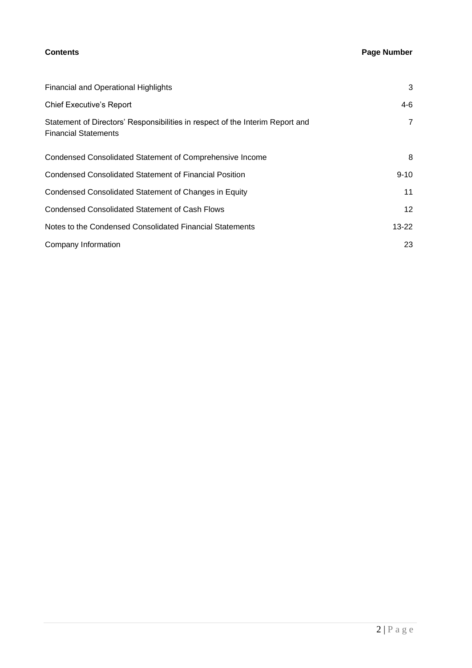# **Contents Page Number**

| <b>Financial and Operational Highlights</b>                                                                  | 3               |
|--------------------------------------------------------------------------------------------------------------|-----------------|
| <b>Chief Executive's Report</b>                                                                              | 4-6             |
| Statement of Directors' Responsibilities in respect of the Interim Report and<br><b>Financial Statements</b> | $\overline{7}$  |
| Condensed Consolidated Statement of Comprehensive Income                                                     | 8               |
| Condensed Consolidated Statement of Financial Position                                                       | $9 - 10$        |
| Condensed Consolidated Statement of Changes in Equity                                                        | 11              |
| <b>Condensed Consolidated Statement of Cash Flows</b>                                                        | 12 <sup>2</sup> |
| Notes to the Condensed Consolidated Financial Statements                                                     | $13 - 22$       |
| Company Information                                                                                          | 23              |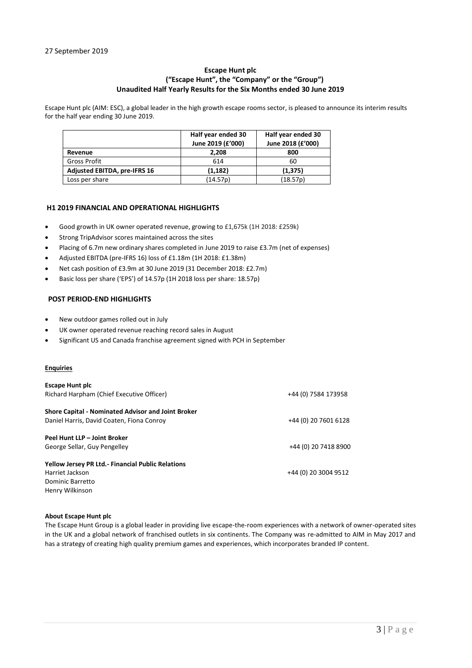### **Escape Hunt plc ("Escape Hunt", the "Company" or the "Group") Unaudited Half Yearly Results for the Six Months ended 30 June 2019**

Escape Hunt plc (AIM: ESC), a global leader in the high growth escape rooms sector, is pleased to announce its interim results for the half year ending 30 June 2019.

|                                     | Half year ended 30<br>June 2019 (£'000) | Half year ended 30<br>June 2018 (£'000) |
|-------------------------------------|-----------------------------------------|-----------------------------------------|
| Revenue                             | 2.208                                   | 800                                     |
| Gross Profit                        | 614                                     | 60                                      |
| <b>Adjusted EBITDA, pre-IFRS 16</b> | (1, 182)                                | (1, 375)                                |
| Loss per share                      | (14.57p)                                | (18.57p)                                |

#### **H1 2019 FINANCIAL AND OPERATIONAL HIGHLIGHTS**

- Good growth in UK owner operated revenue, growing to £1,675k (1H 2018: £259k)
- Strong TripAdvisor scores maintained across the sites
- Placing of 6.7m new ordinary shares completed in June 2019 to raise £3.7m (net of expenses)
- Adjusted EBITDA (pre-IFRS 16) loss of £1.18m (1H 2018: £1.38m)
- Net cash position of £3.9m at 30 June 2019 (31 December 2018: £2.7m)
- Basic loss per share ('EPS') of 14.57p (1H 2018 loss per share: 18.57p)

### **POST PERIOD-END HIGHLIGHTS**

- New outdoor games rolled out in July
- UK owner operated revenue reaching record sales in August
- Significant US and Canada franchise agreement signed with PCH in September

#### **Enquiries**

| <b>Escape Hunt plc</b><br>Richard Harpham (Chief Executive Officer)                                                | +44 (0) 7584 173958  |
|--------------------------------------------------------------------------------------------------------------------|----------------------|
| <b>Shore Capital - Nominated Advisor and Joint Broker</b><br>Daniel Harris, David Coaten, Fiona Conroy             | +44 (0) 20 7601 6128 |
| Peel Hunt LLP - Joint Broker<br>George Sellar, Guy Pengelley                                                       | +44 (0) 20 7418 8900 |
| <b>Yellow Jersey PR Ltd.- Financial Public Relations</b><br>Harriet Jackson<br>Dominic Barretto<br>Henry Wilkinson | +44 (0) 20 3004 9512 |

#### **About Escape Hunt plc**

The Escape Hunt Group is a global leader in providing live escape-the-room experiences with a network of owner-operated sites in the UK and a global network of franchised outlets in six continents. The Company was re-admitted to AIM in May 2017 and has a strategy of creating high quality premium games and experiences, which incorporates branded IP content.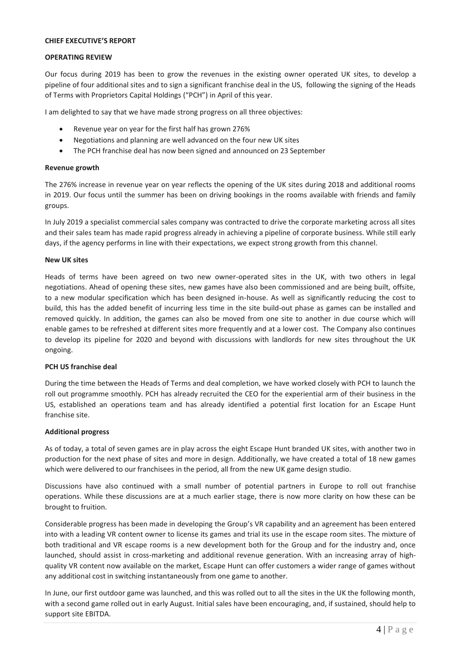#### **CHIEF EXECUTIVE'S REPORT**

#### **OPERATING REVIEW**

Our focus during 2019 has been to grow the revenues in the existing owner operated UK sites, to develop a pipeline of four additional sites and to sign a significant franchise deal in the US, following the signing of the Heads of Terms with Proprietors Capital Holdings ("PCH") in April of this year.

I am delighted to say that we have made strong progress on all three objectives:

- Revenue year on year for the first half has grown 276%
- Negotiations and planning are well advanced on the four new UK sites
- The PCH franchise deal has now been signed and announced on 23 September

#### **Revenue growth**

The 276% increase in revenue year on year reflects the opening of the UK sites during 2018 and additional rooms in 2019. Our focus until the summer has been on driving bookings in the rooms available with friends and family groups.

In July 2019 a specialist commercial sales company was contracted to drive the corporate marketing across all sites and their sales team has made rapid progress already in achieving a pipeline of corporate business. While still early days, if the agency performs in line with their expectations, we expect strong growth from this channel.

#### **New UK sites**

Heads of terms have been agreed on two new owner-operated sites in the UK, with two others in legal negotiations. Ahead of opening these sites, new games have also been commissioned and are being built, offsite, to a new modular specification which has been designed in-house. As well as significantly reducing the cost to build, this has the added benefit of incurring less time in the site build-out phase as games can be installed and removed quickly. In addition, the games can also be moved from one site to another in due course which will enable games to be refreshed at different sites more frequently and at a lower cost. The Company also continues to develop its pipeline for 2020 and beyond with discussions with landlords for new sites throughout the UK ongoing.

#### **PCH US franchise deal**

During the time between the Heads of Terms and deal completion, we have worked closely with PCH to launch the roll out programme smoothly. PCH has already recruited the CEO for the experiential arm of their business in the US, established an operations team and has already identified a potential first location for an Escape Hunt franchise site.

#### **Additional progress**

As of today, a total of seven games are in play across the eight Escape Hunt branded UK sites, with another two in production for the next phase of sites and more in design. Additionally, we have created a total of 18 new games which were delivered to our franchisees in the period, all from the new UK game design studio.

Discussions have also continued with a small number of potential partners in Europe to roll out franchise operations. While these discussions are at a much earlier stage, there is now more clarity on how these can be brought to fruition.

Considerable progress has been made in developing the Group's VR capability and an agreement has been entered into with a leading VR content owner to license its games and trial its use in the escape room sites. The mixture of both traditional and VR escape rooms is a new development both for the Group and for the industry and, once launched, should assist in cross-marketing and additional revenue generation. With an increasing array of highquality VR content now available on the market, Escape Hunt can offer customers a wider range of games without any additional cost in switching instantaneously from one game to another.

In June, our first outdoor game was launched, and this was rolled out to all the sites in the UK the following month, with a second game rolled out in early August. Initial sales have been encouraging, and, if sustained, should help to support site EBITDA.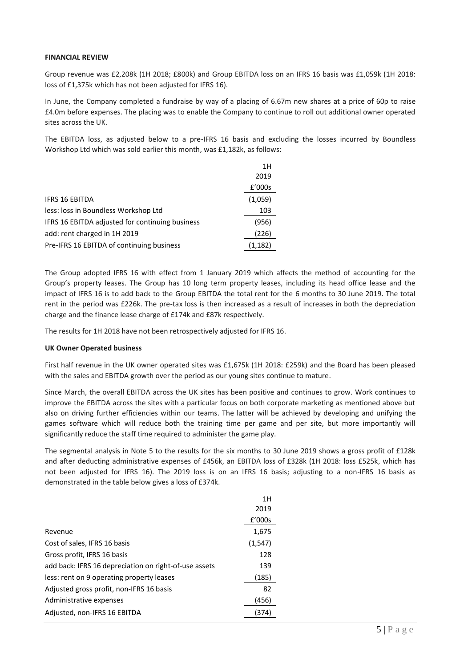#### **FINANCIAL REVIEW**

Group revenue was £2,208k (1H 2018; £800k) and Group EBITDA loss on an IFRS 16 basis was £1,059k (1H 2018: loss of £1,375k which has not been adjusted for IFRS 16).

In June, the Company completed a fundraise by way of a placing of 6.67m new shares at a price of 60p to raise £4.0m before expenses. The placing was to enable the Company to continue to roll out additional owner operated sites across the UK.

The EBITDA loss, as adjusted below to a pre-IFRS 16 basis and excluding the losses incurred by Boundless Workshop Ltd which was sold earlier this month, was £1,182k, as follows:

|                                                 | 1H      |
|-------------------------------------------------|---------|
|                                                 | 2019    |
|                                                 | £'000s  |
| <b>IFRS 16 EBITDA</b>                           | (1,059) |
| less: loss in Boundless Workshop Ltd            | 103     |
| IFRS 16 EBITDA adjusted for continuing business | (956)   |
| add: rent charged in 1H 2019                    | (226)   |
| Pre-IFRS 16 EBITDA of continuing business       | (1,182) |

The Group adopted IFRS 16 with effect from 1 January 2019 which affects the method of accounting for the Group's property leases. The Group has 10 long term property leases, including its head office lease and the impact of IFRS 16 is to add back to the Group EBITDA the total rent for the 6 months to 30 June 2019. The total rent in the period was £226k. The pre-tax loss is then increased as a result of increases in both the depreciation charge and the finance lease charge of £174k and £87k respectively.

The results for 1H 2018 have not been retrospectively adjusted for IFRS 16.

#### **UK Owner Operated business**

First half revenue in the UK owner operated sites was £1,675k (1H 2018: £259k) and the Board has been pleased with the sales and EBITDA growth over the period as our young sites continue to mature.

Since March, the overall EBITDA across the UK sites has been positive and continues to grow. Work continues to improve the EBITDA across the sites with a particular focus on both corporate marketing as mentioned above but also on driving further efficiencies within our teams. The latter will be achieved by developing and unifying the games software which will reduce both the training time per game and per site, but more importantly will significantly reduce the staff time required to administer the game play.

The segmental analysis in Note 5 to the results for the six months to 30 June 2019 shows a gross profit of £128k and after deducting administrative expenses of £456k, an EBITDA loss of £328k (1H 2018: loss £525k, which has not been adjusted for IFRS 16). The 2019 loss is on an IFRS 16 basis; adjusting to a non-IFRS 16 basis as demonstrated in the table below gives a loss of £374k.

|                                                       | 1H       |
|-------------------------------------------------------|----------|
|                                                       | 2019     |
|                                                       | f'000s   |
| Revenue                                               | 1,675    |
| Cost of sales, IFRS 16 basis                          | (1, 547) |
| Gross profit, IFRS 16 basis                           | 128      |
| add back: IFRS 16 depreciation on right-of-use assets | 139      |
| less: rent on 9 operating property leases             | (185)    |
| Adjusted gross profit, non-IFRS 16 basis              | 82       |
| Administrative expenses                               | (456)    |
| Adjusted, non-IFRS 16 EBITDA                          | 374      |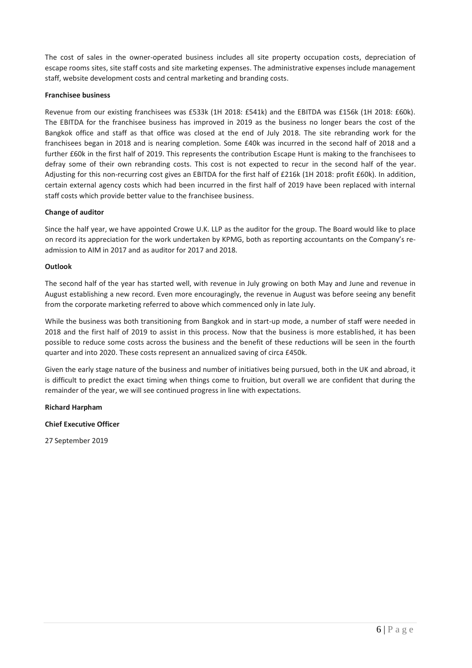The cost of sales in the owner-operated business includes all site property occupation costs, depreciation of escape rooms sites, site staff costs and site marketing expenses. The administrative expenses include management staff, website development costs and central marketing and branding costs.

#### **Franchisee business**

Revenue from our existing franchisees was £533k (1H 2018: £541k) and the EBITDA was £156k (1H 2018: £60k). The EBITDA for the franchisee business has improved in 2019 as the business no longer bears the cost of the Bangkok office and staff as that office was closed at the end of July 2018. The site rebranding work for the franchisees began in 2018 and is nearing completion. Some £40k was incurred in the second half of 2018 and a further £60k in the first half of 2019. This represents the contribution Escape Hunt is making to the franchisees to defray some of their own rebranding costs. This cost is not expected to recur in the second half of the year. Adjusting for this non-recurring cost gives an EBITDA for the first half of £216k (1H 2018: profit £60k). In addition, certain external agency costs which had been incurred in the first half of 2019 have been replaced with internal staff costs which provide better value to the franchisee business.

#### **Change of auditor**

Since the half year, we have appointed Crowe U.K. LLP as the auditor for the group. The Board would like to place on record its appreciation for the work undertaken by KPMG, both as reporting accountants on the Company's readmission to AIM in 2017 and as auditor for 2017 and 2018.

#### **Outlook**

The second half of the year has started well, with revenue in July growing on both May and June and revenue in August establishing a new record. Even more encouragingly, the revenue in August was before seeing any benefit from the corporate marketing referred to above which commenced only in late July.

While the business was both transitioning from Bangkok and in start-up mode, a number of staff were needed in 2018 and the first half of 2019 to assist in this process. Now that the business is more established, it has been possible to reduce some costs across the business and the benefit of these reductions will be seen in the fourth quarter and into 2020. These costs represent an annualized saving of circa £450k.

Given the early stage nature of the business and number of initiatives being pursued, both in the UK and abroad, it is difficult to predict the exact timing when things come to fruition, but overall we are confident that during the remainder of the year, we will see continued progress in line with expectations.

**Richard Harpham** 

**Chief Executive Officer**

27 September 2019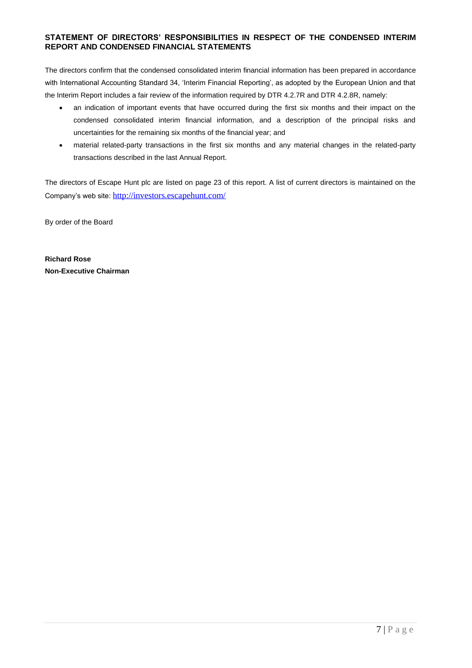## **STATEMENT OF DIRECTORS' RESPONSIBILITIES IN RESPECT OF THE CONDENSED INTERIM REPORT AND CONDENSED FINANCIAL STATEMENTS**

The directors confirm that the condensed consolidated interim financial information has been prepared in accordance with International Accounting Standard 34, 'Interim Financial Reporting', as adopted by the European Union and that the Interim Report includes a fair review of the information required by DTR 4.2.7R and DTR 4.2.8R, namely:

- an indication of important events that have occurred during the first six months and their impact on the condensed consolidated interim financial information, and a description of the principal risks and uncertainties for the remaining six months of the financial year; and
- material related-party transactions in the first six months and any material changes in the related-party transactions described in the last Annual Report.

The directors of Escape Hunt plc are listed on page 23 of this report. A list of current directors is maintained on the Company's web site: <http://investors.escapehunt.com/>

By order of the Board

**Richard Rose Non-Executive Chairman**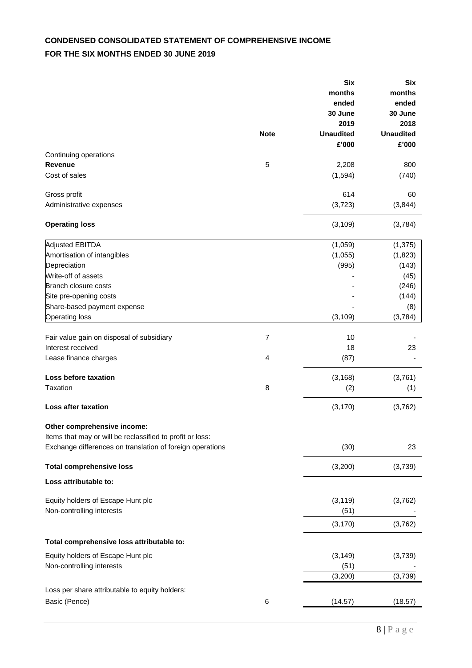# **CONDENSED CONSOLIDATED STATEMENT OF COMPREHENSIVE INCOME FOR THE SIX MONTHS ENDED 30 JUNE 2019**

|                                                                 |                | <b>Six</b><br>months<br>ended<br>30 June<br>2019 | <b>Six</b><br>months<br>ended<br>30 June<br>2018 |
|-----------------------------------------------------------------|----------------|--------------------------------------------------|--------------------------------------------------|
|                                                                 | <b>Note</b>    | <b>Unaudited</b><br>£'000                        | <b>Unaudited</b><br>£'000                        |
| Continuing operations                                           |                |                                                  |                                                  |
| <b>Revenue</b>                                                  | 5              | 2,208                                            | 800                                              |
| Cost of sales                                                   |                | (1, 594)                                         | (740)                                            |
| Gross profit                                                    |                | 614                                              | 60                                               |
| Administrative expenses                                         |                | (3,723)                                          | (3,844)                                          |
| <b>Operating loss</b>                                           |                | (3, 109)                                         | (3,784)                                          |
| <b>Adjusted EBITDA</b>                                          |                | (1,059)                                          | (1, 375)                                         |
| Amortisation of intangibles                                     |                | (1,055)                                          | (1,823)                                          |
| Depreciation                                                    |                | (995)                                            | (143)                                            |
| Write-off of assets                                             |                |                                                  | (45)                                             |
| Branch closure costs                                            |                |                                                  | (246)                                            |
| Site pre-opening costs                                          |                |                                                  | (144)                                            |
| Share-based payment expense                                     |                |                                                  | (8)                                              |
| <b>Operating loss</b>                                           |                | (3, 109)                                         | (3,784)                                          |
| Fair value gain on disposal of subsidiary                       | $\overline{7}$ | 10                                               |                                                  |
| Interest received                                               |                | 18                                               | 23                                               |
| Lease finance charges                                           | 4              | (87)                                             |                                                  |
| Loss before taxation                                            |                | (3, 168)                                         | (3,761)                                          |
| Taxation                                                        | 8              | (2)                                              | (1)                                              |
| Loss after taxation                                             |                | (3, 170)                                         | (3,762)                                          |
| Other comprehensive income:                                     |                |                                                  |                                                  |
| Items that may or will be reclassified to profit or loss:       |                |                                                  |                                                  |
| Exchange differences on translation of foreign operations       |                | (30)                                             | 23                                               |
| <b>Total comprehensive loss</b>                                 |                | (3,200)                                          | (3,739)                                          |
| Loss attributable to:                                           |                |                                                  |                                                  |
| Equity holders of Escape Hunt plc                               |                | (3, 119)                                         | (3,762)                                          |
| Non-controlling interests                                       |                | (51)                                             |                                                  |
|                                                                 |                | (3, 170)                                         | (3,762)                                          |
| Total comprehensive loss attributable to:                       |                |                                                  |                                                  |
|                                                                 |                |                                                  |                                                  |
| Equity holders of Escape Hunt plc<br>Non-controlling interests  |                | (3, 149)<br>(51)                                 | (3,739)                                          |
|                                                                 |                | (3,200)                                          | (3,739)                                          |
|                                                                 |                |                                                  |                                                  |
| Loss per share attributable to equity holders:<br>Basic (Pence) | 6              | (14.57)                                          | (18.57)                                          |
|                                                                 |                |                                                  |                                                  |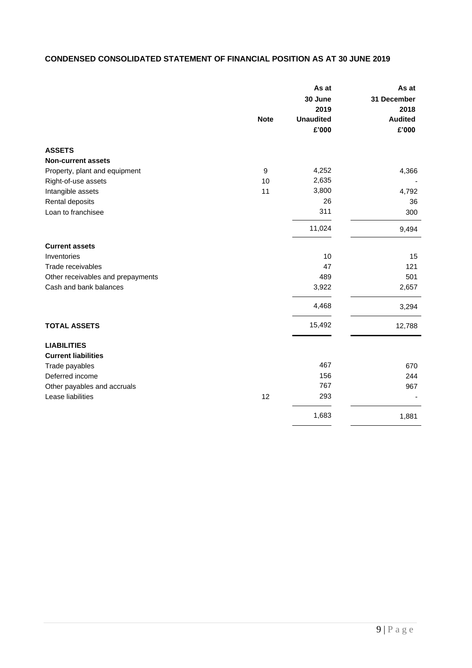# **CONDENSED CONSOLIDATED STATEMENT OF FINANCIAL POSITION AS AT 30 JUNE 2019**

|                                   |             | As at            | As at               |
|-----------------------------------|-------------|------------------|---------------------|
|                                   |             | 30 June<br>2019  | 31 December<br>2018 |
|                                   | <b>Note</b> | <b>Unaudited</b> | <b>Audited</b>      |
|                                   |             | £'000            | £'000               |
| <b>ASSETS</b>                     |             |                  |                     |
| <b>Non-current assets</b>         |             |                  |                     |
| Property, plant and equipment     | 9           | 4,252            | 4,366               |
| Right-of-use assets               | 10          | 2,635            |                     |
| Intangible assets                 | 11          | 3,800            | 4,792               |
| Rental deposits                   |             | 26               | 36                  |
| Loan to franchisee                |             | 311              | 300                 |
|                                   |             | 11,024           | 9,494               |
| <b>Current assets</b>             |             |                  |                     |
| Inventories                       |             | 10               | 15                  |
| Trade receivables                 |             | 47               | 121                 |
| Other receivables and prepayments |             | 489              | 501                 |
| Cash and bank balances            |             | 3,922            | 2,657               |
|                                   |             | 4,468            | 3,294               |
| <b>TOTAL ASSETS</b>               |             | 15,492           | 12,788              |
| <b>LIABILITIES</b>                |             |                  |                     |
| <b>Current liabilities</b>        |             |                  |                     |
| Trade payables                    |             | 467              | 670                 |
| Deferred income                   |             | 156              | 244                 |
| Other payables and accruals       |             | 767              | 967                 |
| Lease liabilities                 | 12          | 293              |                     |
|                                   |             | 1,683            | 1,881               |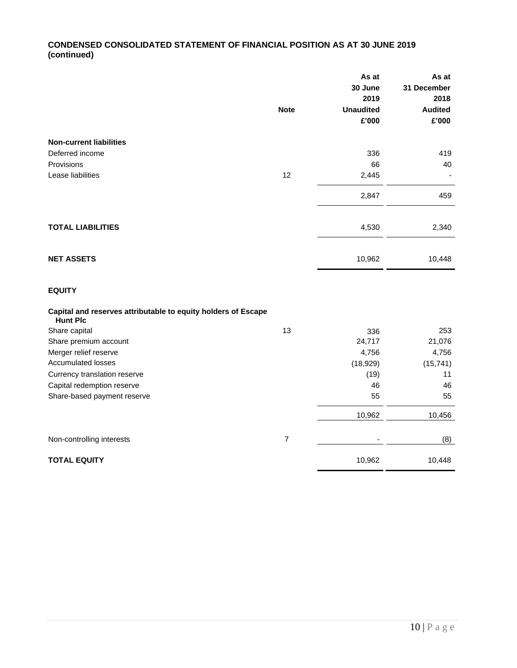# **CONDENSED CONSOLIDATED STATEMENT OF FINANCIAL POSITION AS AT 30 JUNE 2019 (continued)**

|                                                                                  |                | As at<br>30 June | As at<br>31 December |
|----------------------------------------------------------------------------------|----------------|------------------|----------------------|
|                                                                                  |                | 2019             | 2018                 |
|                                                                                  | <b>Note</b>    | <b>Unaudited</b> | <b>Audited</b>       |
|                                                                                  |                | £'000            | £'000                |
| <b>Non-current liabilities</b>                                                   |                |                  |                      |
| Deferred income                                                                  |                | 336              | 419                  |
| Provisions                                                                       |                | 66               | 40                   |
| Lease liabilities                                                                | 12             | 2,445            |                      |
|                                                                                  |                | 2,847            | 459                  |
|                                                                                  |                |                  |                      |
| <b>TOTAL LIABILITIES</b>                                                         |                | 4,530            | 2,340                |
| <b>NET ASSETS</b>                                                                |                | 10,962           | 10,448               |
| <b>EQUITY</b>                                                                    |                |                  |                      |
| Capital and reserves attributable to equity holders of Escape<br><b>Hunt Plc</b> |                |                  |                      |
| Share capital                                                                    | 13             | 336              | 253                  |
| Share premium account                                                            |                | 24,717           | 21,076               |
| Merger relief reserve                                                            |                | 4,756            | 4,756                |
| <b>Accumulated losses</b>                                                        |                | (18, 929)        | (15, 741)            |
| Currency translation reserve                                                     |                | (19)             | 11                   |
| Capital redemption reserve                                                       |                | 46               | 46                   |
| Share-based payment reserve                                                      |                | 55               | 55                   |
|                                                                                  |                | 10,962           | 10,456               |
| Non-controlling interests                                                        | $\overline{7}$ |                  | (8)                  |
| <b>TOTAL EQUITY</b>                                                              |                | 10,962           | 10,448               |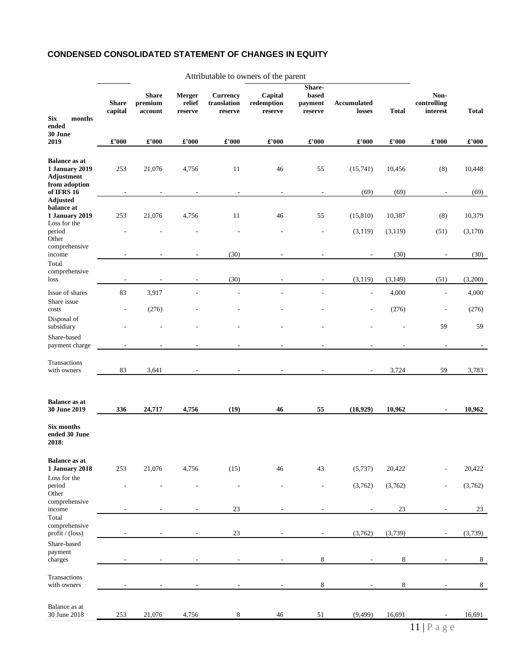## **CONDENSED CONSOLIDATED STATEMENT OF CHANGES IN EQUITY**

| <b>Six</b><br>months<br>ended                                                                  | <b>Share</b><br>capital    | <b>Share</b><br>premium<br>account | Merger<br>relief<br>reserve | <b>Currency</b><br>translation<br>reserve | Capital<br>redemption<br>reserve | Share-<br>based<br>payment<br>reserve | Accumulated<br>losses        | <b>Total</b>               | Non-<br>controlling<br>interest         | <b>Total</b>              |
|------------------------------------------------------------------------------------------------|----------------------------|------------------------------------|-----------------------------|-------------------------------------------|----------------------------------|---------------------------------------|------------------------------|----------------------------|-----------------------------------------|---------------------------|
| 30 June<br>2019                                                                                | $\pmb{\pounds}^{\star}000$ | $\pmb{\pounds}^{\star}000$         | $\pmb{\pounds}^{\star}000$  | $\pmb{\pounds}^{\star}000$                | £'000                            | $\pmb{\pounds}^{\star}000$            | £'000                        | $\pmb{\pounds}^{\star}000$ | $\pmb{\pounds}^{\star}000$              | £'000                     |
| <b>Balance as at</b><br><b>1 January 2019</b><br>Adjustment<br>from adoption                   | 253                        | 21,076                             | 4,756                       | 11                                        | 46                               | 55                                    | (15,741)                     | 10,456                     | (8)                                     | 10,448                    |
| of IFRS 16<br><b>Adjusted</b><br>balance at<br><b>1 January 2019</b><br>Loss for the<br>period | $\overline{a}$<br>253      | 21,076                             | 4,756                       | $\overline{\phantom{a}}$<br>11            | $\overline{\phantom{a}}$<br>46   | $\overline{a}$<br>55                  | (69)<br>(15, 810)<br>(3,119) | (69)<br>10,387<br>(3, 119) | $\overline{\phantom{a}}$<br>(8)<br>(51) | (69)<br>10,379<br>(3,170) |
| Other<br>comprehensive<br>income                                                               |                            |                                    |                             | (30)                                      |                                  |                                       |                              | (30)                       |                                         | (30)                      |
| Total<br>comprehensive<br>loss                                                                 | ÷,                         | $\overline{a}$                     | $\overline{\phantom{a}}$    | (30)                                      |                                  |                                       | (3, 119)                     | (3, 149)                   | (51)                                    | (3,200)                   |
| Issue of shares<br>Share issue<br>costs                                                        | 83                         | 3,917<br>(276)                     |                             | $\overline{a}$                            |                                  |                                       | L,                           | 4,000<br>(276)             | $\overline{a}$                          | 4,000<br>(276)            |
| Disposal of<br>subsidiary                                                                      |                            |                                    |                             |                                           |                                  |                                       |                              |                            | 59                                      | 59                        |
| Share-based<br>payment charge                                                                  |                            |                                    |                             |                                           |                                  |                                       |                              |                            | $\overline{\phantom{a}}$                |                           |
| Transactions<br>with owners                                                                    | 83                         | 3,641                              |                             |                                           | $\overline{a}$                   |                                       |                              | 3,724                      | 59                                      | 3,783                     |
| <b>Balance</b> as at<br>30 June 2019                                                           | 336                        | 24,717                             | 4,756                       | (19)                                      | 46                               | 55                                    | (18,929)                     | 10,962                     | $\blacksquare$                          | 10,962                    |
| Six months<br>ended 30 June<br>2018:                                                           |                            |                                    |                             |                                           |                                  |                                       |                              |                            |                                         |                           |
| <b>Balance as at</b><br><b>1 January 2018</b><br>Loss for the                                  | 253                        | 21,076                             | 4,756                       | (15)                                      | 46                               | 43                                    | (5,737)                      | 20,422                     |                                         | 20,422                    |
| period<br>Other<br>comprehensive                                                               |                            |                                    |                             | L,                                        |                                  |                                       | (3,762)                      | (3,762)                    |                                         | (3,762)                   |
| income<br>Total<br>comprehensive<br>profit / (loss)                                            |                            |                                    |                             | 23<br>23                                  |                                  |                                       | (3,762)                      | 23<br>(3,739)              |                                         | 23<br>(3,739)             |
| Share-based<br>payment<br>charges                                                              |                            |                                    |                             |                                           |                                  | $\,$ 8 $\,$                           |                              | 8                          |                                         | 8                         |
| Transactions<br>with owners                                                                    |                            |                                    |                             |                                           |                                  | 8                                     |                              | 8                          |                                         | $\,8\,$                   |
| Balance as at<br>30 June 2018                                                                  | 253                        | 21,076                             | 4,756                       | 8                                         | 46                               | 51                                    | (9, 499)                     | 16,691                     |                                         | 16,691                    |
|                                                                                                |                            |                                    |                             |                                           |                                  |                                       |                              |                            |                                         |                           |

#### Attributable to owners of the parent

11 | P a g e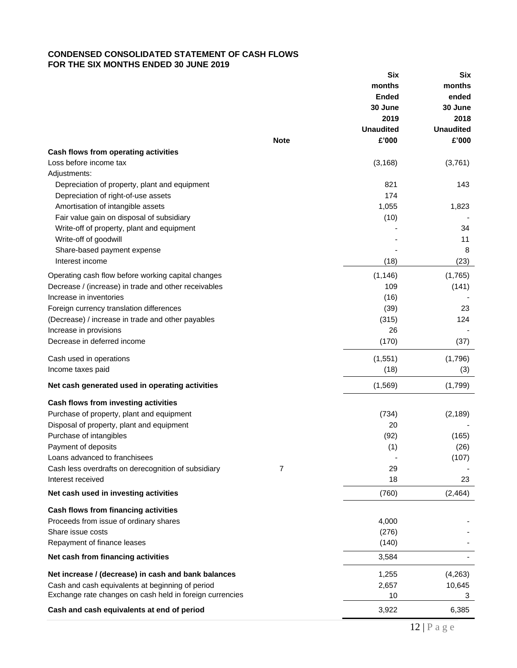## **CONDENSED CONSOLIDATED STATEMENT OF CASH FLOWS FOR THE SIX MONTHS ENDED 30 JUNE 2019**

|                                                                                                              |             | Six              | Six              |
|--------------------------------------------------------------------------------------------------------------|-------------|------------------|------------------|
|                                                                                                              |             | months           | months           |
|                                                                                                              |             | <b>Ended</b>     | ended            |
|                                                                                                              |             | 30 June          | 30 June          |
|                                                                                                              |             | 2019             | 2018             |
|                                                                                                              |             | <b>Unaudited</b> | <b>Unaudited</b> |
|                                                                                                              | <b>Note</b> | £'000            | £'000            |
| Cash flows from operating activities                                                                         |             |                  |                  |
| Loss before income tax                                                                                       |             | (3, 168)         |                  |
|                                                                                                              |             |                  | (3,761)          |
| Adjustments:                                                                                                 |             |                  |                  |
| Depreciation of property, plant and equipment                                                                |             | 821              | 143              |
| Depreciation of right-of-use assets                                                                          |             | 174              |                  |
| Amortisation of intangible assets                                                                            |             | 1,055            | 1,823            |
| Fair value gain on disposal of subsidiary                                                                    |             | (10)             |                  |
| Write-off of property, plant and equipment                                                                   |             |                  | 34               |
| Write-off of goodwill                                                                                        |             |                  | 11               |
| Share-based payment expense                                                                                  |             |                  | 8                |
| Interest income                                                                                              |             | (18)             | (23)             |
| Operating cash flow before working capital changes                                                           |             | (1, 146)         | (1,765)          |
| Decrease / (increase) in trade and other receivables                                                         |             | 109              | (141)            |
| Increase in inventories                                                                                      |             | (16)             |                  |
| Foreign currency translation differences                                                                     |             | (39)             | 23               |
| (Decrease) / increase in trade and other payables                                                            |             | (315)            | 124              |
| Increase in provisions                                                                                       |             | 26               |                  |
| Decrease in deferred income                                                                                  |             | (170)            |                  |
|                                                                                                              |             |                  | (37)             |
| Cash used in operations                                                                                      |             | (1, 551)         | (1,796)          |
| Income taxes paid                                                                                            |             | (18)             | (3)              |
| Net cash generated used in operating activities                                                              |             | (1,569)          | (1,799)          |
|                                                                                                              |             |                  |                  |
| Cash flows from investing activities                                                                         |             |                  |                  |
| Purchase of property, plant and equipment                                                                    |             | (734)            | (2, 189)         |
| Disposal of property, plant and equipment                                                                    |             | 20               |                  |
| Purchase of intangibles                                                                                      |             | (92)             | (165)            |
| Payment of deposits                                                                                          |             | (1)              | (26)             |
| Loans advanced to franchisees                                                                                |             |                  | (107)            |
| Cash less overdrafts on derecognition of subsidiary                                                          | 7           | 29               |                  |
| Interest received                                                                                            |             | 18               | 23               |
|                                                                                                              |             |                  |                  |
| Net cash used in investing activities                                                                        |             | (760)            | (2, 464)         |
| Cash flows from financing activities                                                                         |             |                  |                  |
| Proceeds from issue of ordinary shares                                                                       |             | 4,000            |                  |
| Share issue costs                                                                                            |             | (276)            |                  |
| Repayment of finance leases                                                                                  |             | (140)            |                  |
| Net cash from financing activities                                                                           |             | 3,584            |                  |
| Net increase / (decrease) in cash and bank balances                                                          |             | 1,255            |                  |
|                                                                                                              |             |                  | (4,263)          |
| Cash and cash equivalents at beginning of period<br>Exchange rate changes on cash held in foreign currencies |             | 2,657<br>10      | 10,645<br>3      |
|                                                                                                              |             |                  |                  |
| Cash and cash equivalents at end of period                                                                   |             | 3,922            | 6,385            |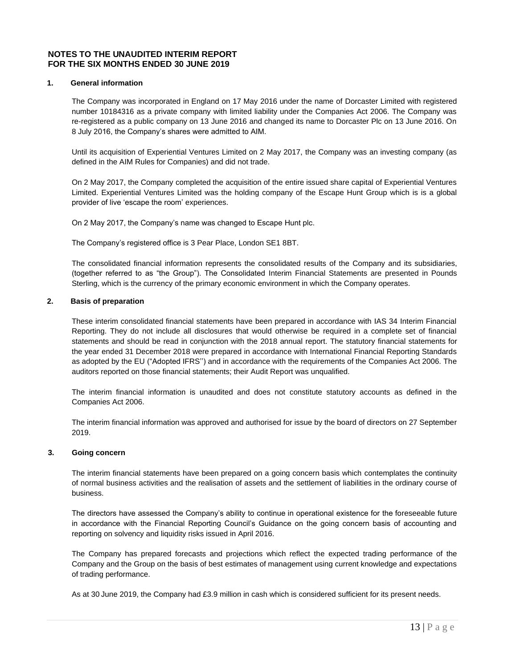#### **NOTES TO THE UNAUDITED INTERIM REPORT FOR THE SIX MONTHS ENDED 30 JUNE 2019**

#### **1. General information**

The Company was incorporated in England on 17 May 2016 under the name of Dorcaster Limited with registered number 10184316 as a private company with limited liability under the Companies Act 2006. The Company was re-registered as a public company on 13 June 2016 and changed its name to Dorcaster Plc on 13 June 2016. On 8 July 2016, the Company's shares were admitted to AIM.

Until its acquisition of Experiential Ventures Limited on 2 May 2017, the Company was an investing company (as defined in the AIM Rules for Companies) and did not trade.

On 2 May 2017, the Company completed the acquisition of the entire issued share capital of Experiential Ventures Limited. Experiential Ventures Limited was the holding company of the Escape Hunt Group which is is a global provider of live 'escape the room' experiences.

On 2 May 2017, the Company's name was changed to Escape Hunt plc.

The Company's registered office is 3 Pear Place, London SE1 8BT.

The consolidated financial information represents the consolidated results of the Company and its subsidiaries, (together referred to as "the Group"). The Consolidated Interim Financial Statements are presented in Pounds Sterling, which is the currency of the primary economic environment in which the Company operates.

#### **2. Basis of preparation**

These interim consolidated financial statements have been prepared in accordance with IAS 34 Interim Financial Reporting. They do not include all disclosures that would otherwise be required in a complete set of financial statements and should be read in conjunction with the 2018 annual report. The statutory financial statements for the year ended 31 December 2018 were prepared in accordance with International Financial Reporting Standards as adopted by the EU ("Adopted IFRS'') and in accordance with the requirements of the Companies Act 2006. The auditors reported on those financial statements; their Audit Report was unqualified.

The interim financial information is unaudited and does not constitute statutory accounts as defined in the Companies Act 2006.

The interim financial information was approved and authorised for issue by the board of directors on 27 September 2019.

#### **3. Going concern**

The interim financial statements have been prepared on a going concern basis which contemplates the continuity of normal business activities and the realisation of assets and the settlement of liabilities in the ordinary course of business.

The directors have assessed the Company's ability to continue in operational existence for the foreseeable future in accordance with the Financial Reporting Council's Guidance on the going concern basis of accounting and reporting on solvency and liquidity risks issued in April 2016.

The Company has prepared forecasts and projections which reflect the expected trading performance of the Company and the Group on the basis of best estimates of management using current knowledge and expectations of trading performance.

As at 30 June 2019, the Company had £3.9 million in cash which is considered sufficient for its present needs.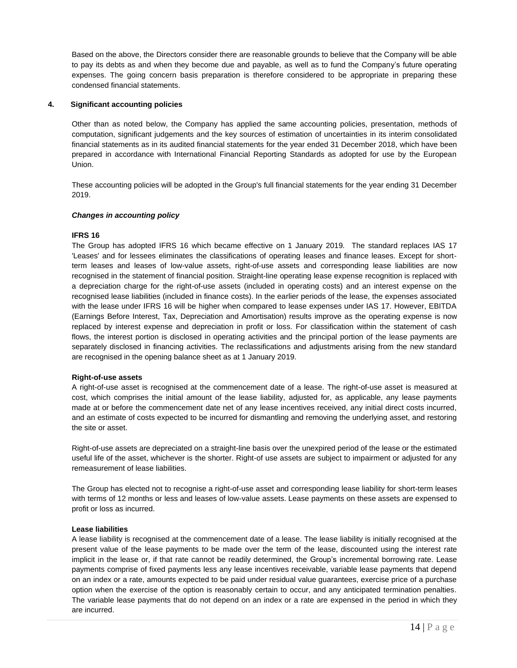Based on the above, the Directors consider there are reasonable grounds to believe that the Company will be able to pay its debts as and when they become due and payable, as well as to fund the Company's future operating expenses. The going concern basis preparation is therefore considered to be appropriate in preparing these condensed financial statements.

#### **4. Significant accounting policies**

Other than as noted below, the Company has applied the same accounting policies, presentation, methods of computation, significant judgements and the key sources of estimation of uncertainties in its interim consolidated financial statements as in its audited financial statements for the year ended 31 December 2018, which have been prepared in accordance with International Financial Reporting Standards as adopted for use by the European Union.

These accounting policies will be adopted in the Group's full financial statements for the year ending 31 December 2019.

#### *Changes in accounting policy*

#### **IFRS 16**

The Group has adopted IFRS 16 which became effective on 1 January 2019*.* The standard replaces IAS 17 'Leases' and for lessees eliminates the classifications of operating leases and finance leases. Except for shortterm leases and leases of low-value assets, right-of-use assets and corresponding lease liabilities are now recognised in the statement of financial position. Straight-line operating lease expense recognition is replaced with a depreciation charge for the right-of-use assets (included in operating costs) and an interest expense on the recognised lease liabilities (included in finance costs). In the earlier periods of the lease, the expenses associated with the lease under IFRS 16 will be higher when compared to lease expenses under IAS 17. However, EBITDA (Earnings Before Interest, Tax, Depreciation and Amortisation) results improve as the operating expense is now replaced by interest expense and depreciation in profit or loss. For classification within the statement of cash flows, the interest portion is disclosed in operating activities and the principal portion of the lease payments are separately disclosed in financing activities. The reclassifications and adjustments arising from the new standard are recognised in the opening balance sheet as at 1 January 2019.

#### **Right-of-use assets**

A right-of-use asset is recognised at the commencement date of a lease. The right-of-use asset is measured at cost, which comprises the initial amount of the lease liability, adjusted for, as applicable, any lease payments made at or before the commencement date net of any lease incentives received, any initial direct costs incurred, and an estimate of costs expected to be incurred for dismantling and removing the underlying asset, and restoring the site or asset.

Right-of-use assets are depreciated on a straight-line basis over the unexpired period of the lease or the estimated useful life of the asset, whichever is the shorter. Right-of use assets are subject to impairment or adjusted for any remeasurement of lease liabilities.

The Group has elected not to recognise a right-of-use asset and corresponding lease liability for short-term leases with terms of 12 months or less and leases of low-value assets. Lease payments on these assets are expensed to profit or loss as incurred.

#### **Lease liabilities**

A lease liability is recognised at the commencement date of a lease. The lease liability is initially recognised at the present value of the lease payments to be made over the term of the lease, discounted using the interest rate implicit in the lease or, if that rate cannot be readily determined, the Group's incremental borrowing rate. Lease payments comprise of fixed payments less any lease incentives receivable, variable lease payments that depend on an index or a rate, amounts expected to be paid under residual value guarantees, exercise price of a purchase option when the exercise of the option is reasonably certain to occur, and any anticipated termination penalties. The variable lease payments that do not depend on an index or a rate are expensed in the period in which they are incurred.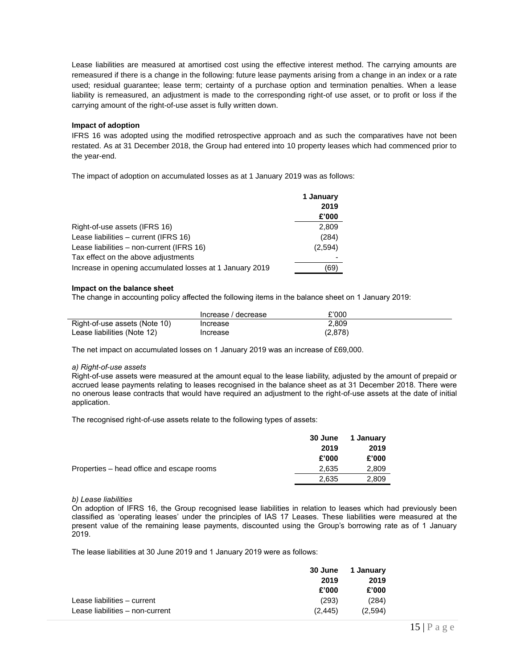Lease liabilities are measured at amortised cost using the effective interest method. The carrying amounts are remeasured if there is a change in the following: future lease payments arising from a change in an index or a rate used; residual guarantee; lease term; certainty of a purchase option and termination penalties. When a lease liability is remeasured, an adjustment is made to the corresponding right-of use asset, or to profit or loss if the carrying amount of the right-of-use asset is fully written down.

#### **Impact of adoption**

IFRS 16 was adopted using the modified retrospective approach and as such the comparatives have not been restated. As at 31 December 2018, the Group had entered into 10 property leases which had commenced prior to the year-end.

The impact of adoption on accumulated losses as at 1 January 2019 was as follows:

|                                                          | 1 January |
|----------------------------------------------------------|-----------|
|                                                          | 2019      |
|                                                          | £'000     |
| Right-of-use assets (IFRS 16)                            | 2,809     |
| Lease liabilities - current (IFRS 16)                    | (284)     |
| Lease liabilities - non-current (IFRS 16)                | (2,594)   |
| Tax effect on the above adjustments                      |           |
| Increase in opening accumulated losses at 1 January 2019 | (69)      |

#### **Impact on the balance sheet**

The change in accounting policy affected the following items in the balance sheet on 1 January 2019:

|                               | Increase / decrease | £'000   |
|-------------------------------|---------------------|---------|
| Right-of-use assets (Note 10) | Increase            | 2.809   |
| Lease liabilities (Note 12)   | Increase            | (2,878) |

The net impact on accumulated losses on 1 January 2019 was an increase of £69,000.

#### *a) Right-of-use assets*

Right-of-use assets were measured at the amount equal to the lease liability, adjusted by the amount of prepaid or accrued lease payments relating to leases recognised in the balance sheet as at 31 December 2018. There were no onerous lease contracts that would have required an adjustment to the right-of-use assets at the date of initial application.

The recognised right-of-use assets relate to the following types of assets:

|                                           | <b>30 June</b> | 1 January |
|-------------------------------------------|----------------|-----------|
|                                           | 2019           | 2019      |
|                                           | £'000          | £'000     |
| Properties – head office and escape rooms | 2.635          | 2,809     |
|                                           | 2.635          | 2,809     |

#### *b) Lease liabilities*

On adoption of IFRS 16, the Group recognised lease liabilities in relation to leases which had previously been classified as 'operating leases' under the principles of IAS 17 Leases. These liabilities were measured at the present value of the remaining lease payments, discounted using the Group's borrowing rate as of 1 January 2019.

The lease liabilities at 30 June 2019 and 1 January 2019 were as follows:

| 30 June | 1 January |
|---------|-----------|
| 2019    | 2019      |
| £'000   | £'000     |
| (293)   | (284)     |
| (2.445) | (2.594)   |
|         |           |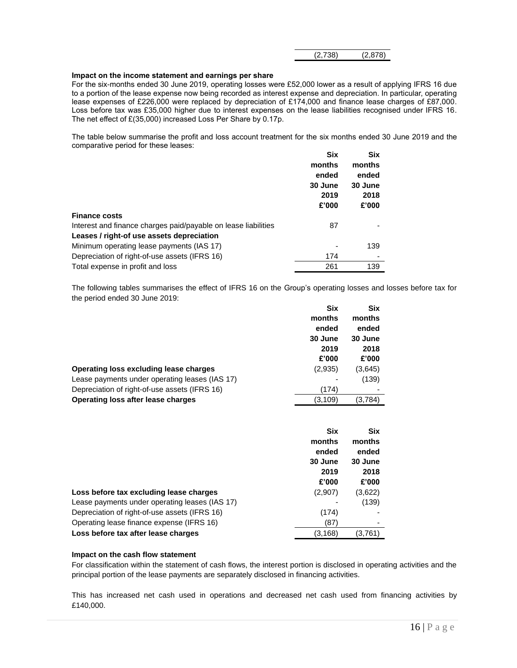| (2,878)<br>(2,738) |  |  |
|--------------------|--|--|
|--------------------|--|--|

#### **Impact on the income statement and earnings per share**

For the six-months ended 30 June 2019, operating losses were £52,000 lower as a result of applying IFRS 16 due to a portion of the lease expense now being recorded as interest expense and depreciation. In particular, operating lease expenses of £226,000 were replaced by depreciation of £174,000 and finance lease charges of £87,000. Loss before tax was £35,000 higher due to interest expenses on the lease liabilities recognised under IFRS 16. The net effect of £(35,000) increased Loss Per Share by 0.17p.

The table below summarise the profit and loss account treatment for the six months ended 30 June 2019 and the comparative period for these leases:  $\overline{\phantom{a}}$  $\sim$ 

|                                                                | אוכ     | אוכ     |
|----------------------------------------------------------------|---------|---------|
|                                                                | months  | months  |
|                                                                | ended   | ended   |
|                                                                | 30 June | 30 June |
|                                                                | 2019    | 2018    |
|                                                                | £'000   | £'000   |
| <b>Finance costs</b>                                           |         |         |
| Interest and finance charges paid/payable on lease liabilities | 87      |         |
| Leases / right-of use assets depreciation                      |         |         |
| Minimum operating lease payments (IAS 17)                      |         | 139     |
| Depreciation of right-of-use assets (IFRS 16)                  | 174     |         |
| Total expense in profit and loss                               | 261     | 139     |

The following tables summarises the effect of IFRS 16 on the Group's operating losses and losses before tax for the period ended 30 June 2019:

|                                                | <b>Six</b> | <b>Six</b> |
|------------------------------------------------|------------|------------|
|                                                | months     | months     |
|                                                | ended      | ended      |
|                                                | 30 June    | 30 June    |
|                                                | 2019       | 2018       |
|                                                | £'000      | £'000      |
| Operating loss excluding lease charges         | (2,935)    | (3,645)    |
| Lease payments under operating leases (IAS 17) |            | (139)      |
| Depreciation of right-of-use assets (IFRS 16)  | (174)      |            |
| <b>Operating loss after lease charges</b>      | (3, 109)   | (3,784)    |
|                                                |            |            |

|                                                | <b>Six</b> | Six     |
|------------------------------------------------|------------|---------|
|                                                | months     | months  |
|                                                | ended      | ended   |
|                                                | 30 June    | 30 June |
|                                                | 2019       | 2018    |
|                                                | £'000      | £'000   |
| Loss before tax excluding lease charges        | (2,907)    | (3,622) |
| Lease payments under operating leases (IAS 17) |            | (139)   |
| Depreciation of right-of-use assets (IFRS 16)  | (174)      |         |
| Operating lease finance expense (IFRS 16)      | (87)       |         |
| Loss before tax after lease charges            | (3, 168)   | (3,761) |

#### **Impact on the cash flow statement**

For classification within the statement of cash flows, the interest portion is disclosed in operating activities and the principal portion of the lease payments are separately disclosed in financing activities.

This has increased net cash used in operations and decreased net cash used from financing activities by £140,000.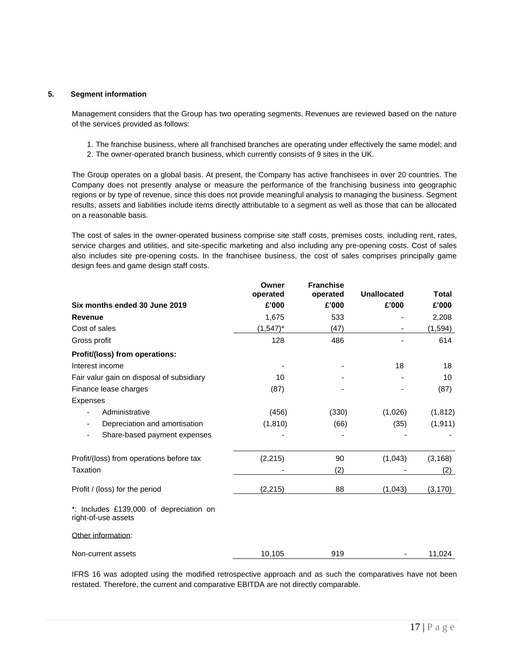#### **5. Segment information**

Management considers that the Group has two operating segments. Revenues are reviewed based on the nature of the services provided as follows:

- 1. The franchise business, where all franchised branches are operating under effectively the same model; and
- 2. The owner-operated branch business, which currently consists of 9 sites in the UK.

The Group operates on a global basis. At present, the Company has active franchisees in over 20 countries. The Company does not presently analyse or measure the performance of the franchising business into geographic regions or by type of revenue, since this does not provide meaningful analysis to managing the business. Segment results, assets and liabilities include items directly attributable to a segment as well as those that can be allocated on a reasonable basis.

The cost of sales in the owner-operated business comprise site staff costs, premises costs, including rent, rates, service charges and utilities, and site-specific marketing and also including any pre-opening costs. Cost of sales also includes site pre-opening costs. In the franchisee business, the cost of sales comprises principally game design fees and game design staff costs.

|                                                                | Owner<br>operated | <b>Franchise</b><br>operated | <b>Unallocated</b>       | Total    |
|----------------------------------------------------------------|-------------------|------------------------------|--------------------------|----------|
| Six months ended 30 June 2019                                  | £'000             | £'000                        | £'000                    | £'000    |
| <b>Revenue</b>                                                 | 1,675             | 533                          |                          | 2,208    |
| Cost of sales                                                  | $(1,547)^*$       | (47)                         | $\overline{\phantom{a}}$ | (1, 594) |
| Gross profit                                                   | 128               | 486                          |                          | 614      |
| Profit/(loss) from operations:                                 |                   |                              |                          |          |
| Interest income                                                |                   |                              | 18                       | 18       |
| Fair valur gain on disposal of subsidiary                      | 10                |                              |                          | 10       |
| Finance lease charges                                          | (87)              |                              |                          | (87)     |
| Expenses                                                       |                   |                              |                          |          |
| Administrative<br>-                                            | (456)             | (330)                        | (1,026)                  | (1, 812) |
| Depreciation and amortisation<br>-                             | (1, 810)          | (66)                         | (35)                     | (1, 911) |
| Share-based payment expenses<br>$\overline{\phantom{0}}$       |                   |                              |                          |          |
| Profit/(loss) from operations before tax                       | (2, 215)          | 90                           | (1,043)                  | (3, 168) |
| Taxation                                                       |                   | (2)                          |                          | (2)      |
| Profit / (loss) for the period                                 | (2, 215)          | 88                           | (1,043)                  | (3, 170) |
| *: Includes £139,000 of depreciation on<br>right-of-use assets |                   |                              |                          |          |
| Other information:                                             |                   |                              |                          |          |
| Non-current assets                                             | 10,105            | 919                          |                          | 11,024   |

IFRS 16 was adopted using the modified retrospective approach and as such the comparatives have not been restated. Therefore, the current and comparative EBITDA are not directly comparable.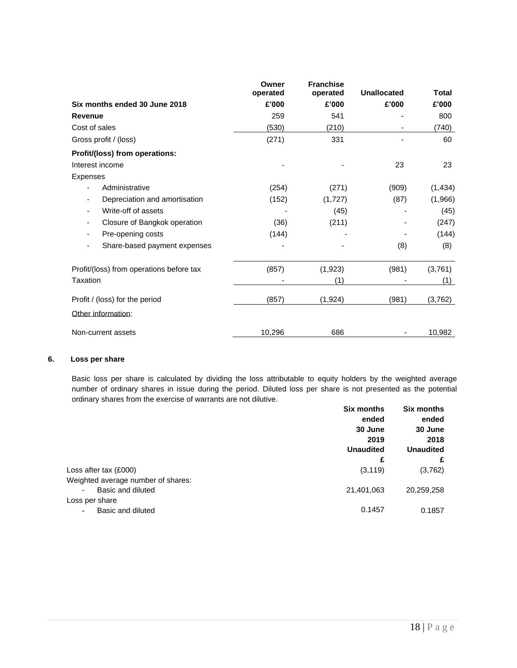|                                                           | Owner<br>operated | <b>Franchise</b><br>operated | <b>Unallocated</b> | <b>Total</b> |
|-----------------------------------------------------------|-------------------|------------------------------|--------------------|--------------|
| Six months ended 30 June 2018                             | £'000             | £'000                        | £'000              | £'000        |
| <b>Revenue</b>                                            | 259               | 541                          |                    | 800          |
| Cost of sales                                             | (530)             | (210)                        |                    | (740)        |
| Gross profit / (loss)                                     | (271)             | 331                          |                    | 60           |
| Profit/(loss) from operations:                            |                   |                              |                    |              |
| Interest income                                           |                   |                              | 23                 | 23           |
| Expenses                                                  |                   |                              |                    |              |
| Administrative<br>$\overline{\phantom{0}}$                | (254)             | (271)                        | (909)              | (1, 434)     |
| Depreciation and amortisation<br>$\overline{\phantom{a}}$ | (152)             | (1,727)                      | (87)               | (1,966)      |
| Write-off of assets<br>-                                  |                   | (45)                         |                    | (45)         |
| Closure of Bangkok operation<br>-                         | (36)              | (211)                        |                    | (247)        |
| Pre-opening costs                                         | (144)             |                              |                    | (144)        |
| Share-based payment expenses                              |                   |                              | (8)                | (8)          |
| Profit/(loss) from operations before tax                  | (857)             | (1,923)                      | (981)              | (3,761)      |
| Taxation                                                  |                   | (1)                          |                    | (1)          |
| Profit / (loss) for the period                            | (857)             | (1, 924)                     | (981)              | (3,762)      |
| Other information:                                        |                   |                              |                    |              |
| Non-current assets                                        | 10,296            | 686                          |                    | 10,982       |

#### **6. Loss per share**

Basic loss per share is calculated by dividing the loss attributable to equity holders by the weighted average number of ordinary shares in issue during the period. Diluted loss per share is not presented as the potential ordinary shares from the exercise of warrants are not dilutive.

|                                               | <b>Six months</b> | <b>Six months</b> |
|-----------------------------------------------|-------------------|-------------------|
|                                               | ended             | ended             |
|                                               | 30 June           | 30 June           |
|                                               | 2019              | 2018              |
|                                               | <b>Unaudited</b>  | <b>Unaudited</b>  |
|                                               | £                 | £                 |
| Loss after tax (£000)                         | (3, 119)          | (3,762)           |
| Weighted average number of shares:            |                   |                   |
| Basic and diluted<br>$\overline{\phantom{0}}$ | 21,401,063        | 20,259,258        |
| Loss per share                                |                   |                   |
| Basic and diluted                             | 0.1457            | 0.1857            |
|                                               |                   |                   |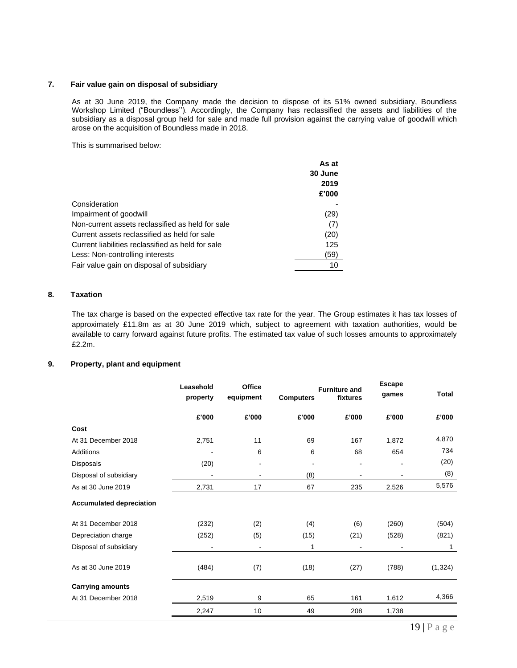#### **7. Fair value gain on disposal of subsidiary**

As at 30 June 2019, the Company made the decision to dispose of its 51% owned subsidiary, Boundless Workshop Limited ("Boundless''). Accordingly, the Company has reclassified the assets and liabilities of the subsidiary as a disposal group held for sale and made full provision against the carrying value of goodwill which arose on the acquisition of Boundless made in 2018.

This is summarised below:

|                                                   | As at   |
|---------------------------------------------------|---------|
|                                                   | 30 June |
|                                                   | 2019    |
|                                                   | £'000   |
| Consideration                                     |         |
| Impairment of goodwill                            | (29)    |
| Non-current assets reclassified as held for sale  | (7)     |
| Current assets reclassified as held for sale      | (20)    |
| Current liabilities reclassified as held for sale | 125     |
| Less: Non-controlling interests                   | (59)    |
| Fair value gain on disposal of subsidiary         | 10      |

#### **8. Taxation**

The tax charge is based on the expected effective tax rate for the year. The Group estimates it has tax losses of approximately £11.8m as at 30 June 2019 which, subject to agreement with taxation authorities, would be available to carry forward against future profits. The estimated tax value of such losses amounts to approximately £2.2m.

#### **9. Property, plant and equipment**

|                                 | Leasehold<br>property | Office<br>equipment | <b>Computers</b> | <b>Furniture and</b><br>fixtures | <b>Escape</b><br>games | <b>Total</b> |
|---------------------------------|-----------------------|---------------------|------------------|----------------------------------|------------------------|--------------|
|                                 | £'000                 | £'000               | £'000            | £'000                            | £'000                  | £'000        |
| Cost                            |                       |                     |                  |                                  |                        |              |
| At 31 December 2018             | 2,751                 | 11                  | 69               | 167                              | 1,872                  | 4,870        |
| Additions                       | ٠                     | 6                   | 6                | 68                               | 654                    | 734          |
| Disposals                       | (20)                  |                     | $\blacksquare$   |                                  |                        | (20)         |
| Disposal of subsidiary          |                       |                     | (8)              |                                  |                        | (8)          |
| As at 30 June 2019              | 2,731                 | 17                  | 67               | 235                              | 2,526                  | 5,576        |
| <b>Accumulated depreciation</b> |                       |                     |                  |                                  |                        |              |
| At 31 December 2018             | (232)                 | (2)                 | (4)              | (6)                              | (260)                  | (504)        |
| Depreciation charge             | (252)                 | (5)                 | (15)             | (21)                             | (528)                  | (821)        |
| Disposal of subsidiary          | ۰                     |                     | 1                | $\overline{\phantom{a}}$         |                        | 1            |
| As at 30 June 2019              | (484)                 | (7)                 | (18)             | (27)                             | (788)                  | (1, 324)     |
| <b>Carrying amounts</b>         |                       |                     |                  |                                  |                        |              |
| At 31 December 2018             | 2,519                 | 9                   | 65               | 161                              | 1,612                  | 4,366        |
|                                 | 2,247                 | 10                  | 49               | 208                              | 1,738                  |              |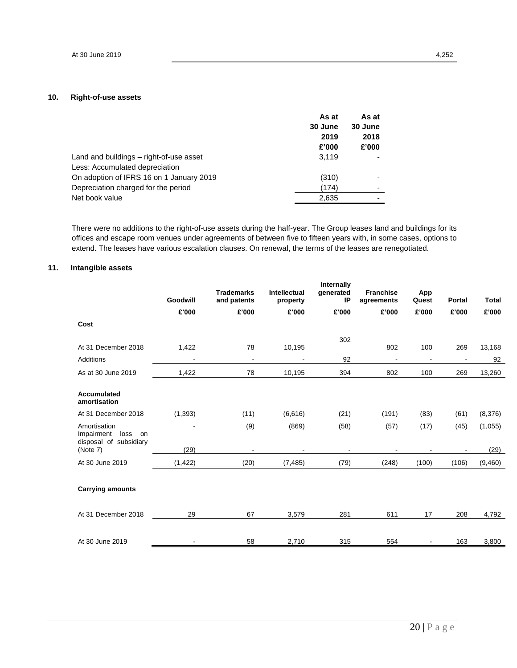### **10. Right-of-use assets**

|                                          | As at   | As at                    |
|------------------------------------------|---------|--------------------------|
|                                          | 30 June | 30 June                  |
|                                          | 2019    | 2018                     |
|                                          | £'000   | £'000                    |
| Land and buildings - right-of-use asset  | 3.119   |                          |
| Less: Accumulated depreciation           |         |                          |
| On adoption of IFRS 16 on 1 January 2019 | (310)   |                          |
| Depreciation charged for the period      | (174)   | $\overline{\phantom{0}}$ |
| Net book value                           | 2,635   |                          |
|                                          |         |                          |

There were no additions to the right-of-use assets during the half-year. The Group leases land and buildings for its offices and escape room venues under agreements of between five to fifteen years with, in some cases, options to extend. The leases have various escalation clauses. On renewal, the terms of the leases are renegotiated.

#### **11. Intangible assets**

|                                                                    | Goodwill | <b>Trademarks</b><br>and patents | <b>Intellectual</b><br>property | Internally<br>generated<br>IP | <b>Franchise</b><br>agreements | App<br>Quest   | Portal | <b>Total</b> |
|--------------------------------------------------------------------|----------|----------------------------------|---------------------------------|-------------------------------|--------------------------------|----------------|--------|--------------|
|                                                                    | £'000    | £'000                            | £'000                           | £'000                         | £'000                          | £'000          | £'000  | £'000        |
| Cost                                                               |          |                                  |                                 |                               |                                |                |        |              |
| At 31 December 2018                                                | 1,422    | 78                               | 10,195                          | 302                           | 802                            | 100            | 269    | 13,168       |
| <b>Additions</b>                                                   |          | $\blacksquare$                   | $\blacksquare$                  | 92                            | $\blacksquare$                 | $\overline{a}$ |        | 92           |
| As at 30 June 2019                                                 | 1,422    | 78                               | 10,195                          | 394                           | 802                            | 100            | 269    | 13,260       |
| Accumulated<br>amortisation                                        |          |                                  |                                 |                               |                                |                |        |              |
| At 31 December 2018                                                | (1, 393) | (11)                             | (6,616)                         | (21)                          | (191)                          | (83)           | (61)   | (8,376)      |
| Amortisation<br>Impairment<br>loss<br>on<br>disposal of subsidiary |          | (9)                              | (869)                           | (58)                          | (57)                           | (17)           | (45)   | (1,055)      |
| (Note 7)                                                           | (29)     |                                  |                                 |                               |                                |                |        | (29)         |
| At 30 June 2019                                                    | (1, 422) | (20)                             | (7, 485)                        | (79)                          | (248)                          | (100)          | (106)  | (9,460)      |
| <b>Carrying amounts</b>                                            |          |                                  |                                 |                               |                                |                |        |              |
| At 31 December 2018                                                | 29       | 67                               | 3,579                           | 281                           | 611                            | 17             | 208    | 4,792        |
| At 30 June 2019                                                    |          | 58                               | 2,710                           | 315                           | 554                            |                | 163    | 3,800        |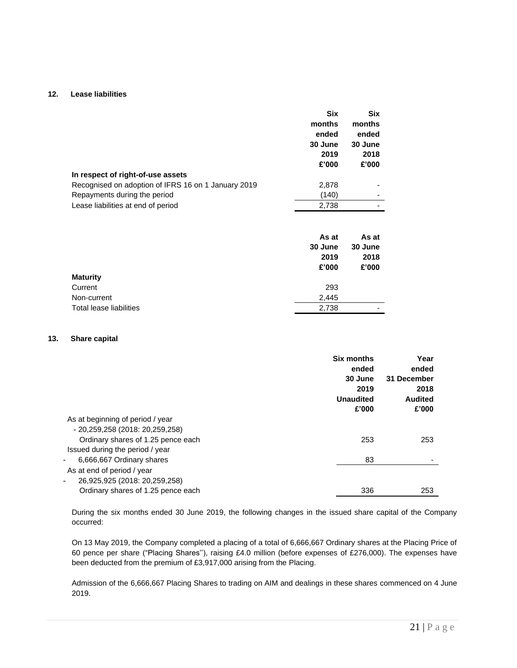#### **12. Lease liabilities**

|                                                     | <b>Six</b> | Six     |
|-----------------------------------------------------|------------|---------|
|                                                     | months     | months  |
|                                                     | ended      | ended   |
|                                                     | 30 June    | 30 June |
|                                                     | 2019       | 2018    |
|                                                     | £'000      | £'000   |
| In respect of right-of-use assets                   |            |         |
| Recognised on adoption of IFRS 16 on 1 January 2019 | 2,878      |         |
| Repayments during the period                        | (140)      |         |
| Lease liabilities at end of period                  | 2,738      |         |
|                                                     |            |         |
|                                                     | As at      | As at   |

|                         | 30 June | 30 June |
|-------------------------|---------|---------|
|                         | 2019    | 2018    |
|                         | £'000   | £'000   |
| <b>Maturity</b>         |         |         |
| Current                 | 293     |         |
| Non-current             | 2.445   |         |
| Total lease liabilities | 2,738   | ۰       |
|                         |         |         |

#### **13. Share capital**

|                                                                                         | <b>Six months</b><br>ended<br>30 June<br>2019<br><b>Unaudited</b><br>£'000 | Year<br>ended<br>31 December<br>2018<br><b>Audited</b><br>£'000 |
|-----------------------------------------------------------------------------------------|----------------------------------------------------------------------------|-----------------------------------------------------------------|
| As at beginning of period / year                                                        |                                                                            |                                                                 |
| - 20,259,258 (2018: 20,259,258)                                                         |                                                                            |                                                                 |
| Ordinary shares of 1.25 pence each                                                      | 253                                                                        | 253                                                             |
| Issued during the period / year                                                         |                                                                            |                                                                 |
| 6,666,667 Ordinary shares                                                               | 83                                                                         |                                                                 |
| As at end of period / year<br>26,925,925 (2018: 20,259,258)<br>$\overline{\phantom{a}}$ |                                                                            |                                                                 |
| Ordinary shares of 1.25 pence each                                                      | 336                                                                        | 253                                                             |

During the six months ended 30 June 2019, the following changes in the issued share capital of the Company occurred:

On 13 May 2019, the Company completed a placing of a total of 6,666,667 Ordinary shares at the Placing Price of 60 pence per share ("Placing Shares''), raising £4.0 million (before expenses of £276,000). The expenses have been deducted from the premium of £3,917,000 arising from the Placing.

Admission of the 6,666,667 Placing Shares to trading on AIM and dealings in these shares commenced on 4 June 2019.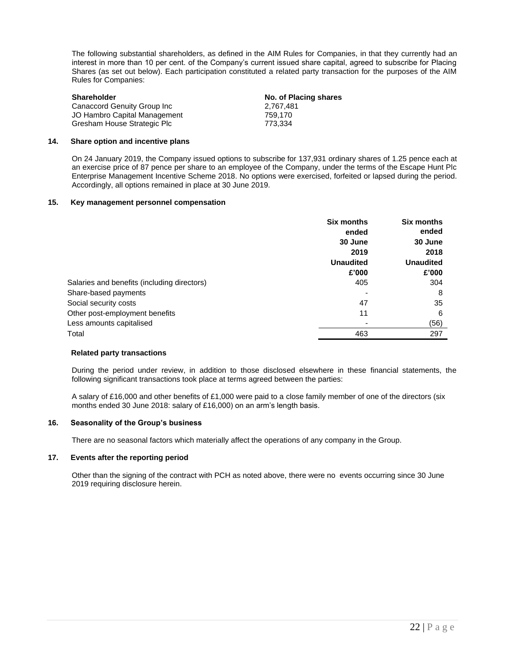The following substantial shareholders, as defined in the AIM Rules for Companies, in that they currently had an interest in more than 10 per cent. of the Company's current issued share capital, agreed to subscribe for Placing Shares (as set out below). Each participation constituted a related party transaction for the purposes of the AIM Rules for Companies:

| <b>Shareholder</b>           | No. of Placing shares |
|------------------------------|-----------------------|
| Canaccord Genuity Group Inc  | 2.767.481             |
| JO Hambro Capital Management | 759.170               |
| Gresham House Strategic Plc  | 773.334               |

#### **14. Share option and incentive plans**

On 24 January 2019, the Company issued options to subscribe for 137,931 ordinary shares of 1.25 pence each at an exercise price of 87 pence per share to an employee of the Company, under the terms of the Escape Hunt Plc Enterprise Management Incentive Scheme 2018. No options were exercised, forfeited or lapsed during the period. Accordingly, all options remained in place at 30 June 2019.

#### **15. Key management personnel compensation**

|                                             | <b>Six months</b><br>ended | <b>Six months</b><br>ended<br>30 June<br>2018<br><b>Unaudited</b> |  |
|---------------------------------------------|----------------------------|-------------------------------------------------------------------|--|
|                                             | 30 June<br>2019            |                                                                   |  |
|                                             |                            |                                                                   |  |
|                                             | <b>Unaudited</b>           |                                                                   |  |
|                                             | £'000                      | £'000                                                             |  |
| Salaries and benefits (including directors) | 405                        | 304                                                               |  |
| Share-based payments                        |                            | 8                                                                 |  |
| Social security costs                       | 47                         | 35                                                                |  |
| Other post-employment benefits              | 11                         | 6                                                                 |  |
| Less amounts capitalised                    |                            | (56)                                                              |  |
| Total                                       | 463                        | 297                                                               |  |
|                                             |                            |                                                                   |  |

#### **Related party transactions**

During the period under review, in addition to those disclosed elsewhere in these financial statements, the following significant transactions took place at terms agreed between the parties:

A salary of £16,000 and other benefits of £1,000 were paid to a close family member of one of the directors (six months ended 30 June 2018: salary of £16,000) on an arm's length basis.

#### **16. Seasonality of the Group's business**

There are no seasonal factors which materially affect the operations of any company in the Group.

#### **17. Events after the reporting period**

Other than the signing of the contract with PCH as noted above, there were no events occurring since 30 June 2019 requiring disclosure herein.